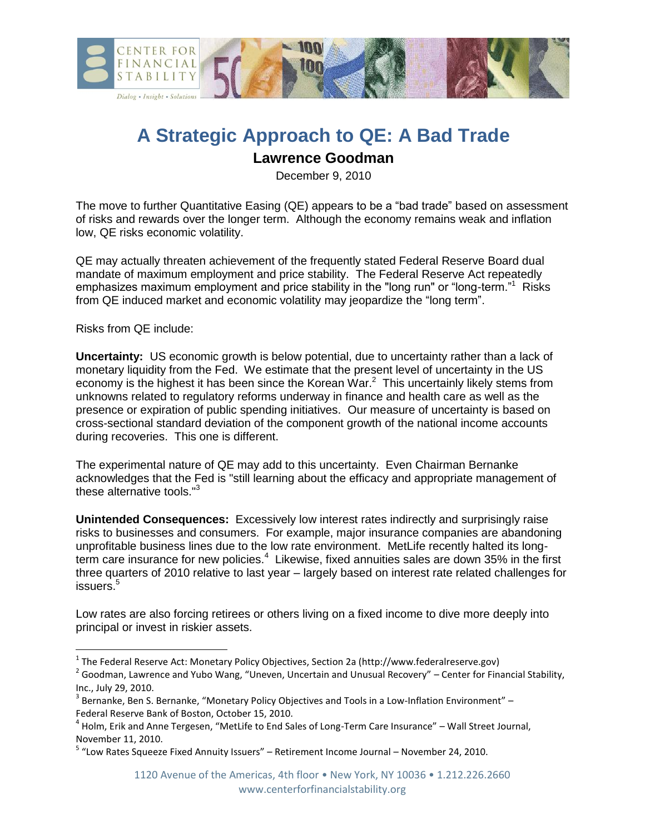

## **A Strategic Approach to QE: A Bad Trade**

## **Lawrence Goodman**

December 9, 2010

The move to further Quantitative Easing (QE) appears to be a "bad trade" based on assessment of risks and rewards over the longer term. Although the economy remains weak and inflation low, QE risks economic volatility.

QE may actually threaten achievement of the frequently stated Federal Reserve Board dual mandate of maximum employment and price stability. The Federal Reserve Act repeatedly emphasizes maximum employment and price stability in the "long run" or "long-term."<sup>1</sup> Risks from QE induced market and economic volatility may jeopardize the "long term".

Risks from QE include:

 $\overline{\phantom{a}}$ 

**Uncertainty:** US economic growth is below potential, due to uncertainty rather than a lack of monetary liquidity from the Fed. We estimate that the present level of uncertainty in the US economy is the highest it has been since the Korean War. $^2$  This uncertainly likely stems from unknowns related to regulatory reforms underway in finance and health care as well as the presence or expiration of public spending initiatives. Our measure of uncertainty is based on cross-sectional standard deviation of the component growth of the national income accounts during recoveries. This one is different.

The experimental nature of QE may add to this uncertainty. Even Chairman Bernanke acknowledges that the Fed is "still learning about the efficacy and appropriate management of these alternative tools." $3$ 

**Unintended Consequences:** Excessively low interest rates indirectly and surprisingly raise risks to businesses and consumers. For example, major insurance companies are abandoning unprofitable business lines due to the low rate environment. MetLife recently halted its longterm care insurance for new policies.<sup>4</sup> Likewise, fixed annuities sales are down 35% in the first three quarters of 2010 relative to last year – largely based on interest rate related challenges for issuers.<sup>5</sup>

Low rates are also forcing retirees or others living on a fixed income to dive more deeply into principal or invest in riskier assets.

<sup>&</sup>lt;sup>1</sup> The Federal Reserve Act: Monetary Policy Objectives, Section 2a (http://www.federalreserve.gov)

 $^2$  Goodman, Lawrence and Yubo Wang, "Uneven, Uncertain and Unusual Recovery" – Center for Financial Stability, Inc., July 29, 2010.

 $^3$  Bernanke, Ben S. Bernanke, "Monetary Policy Objectives and Tools in a Low-Inflation Environment" – Federal Reserve Bank of Boston, October 15, 2010.

<sup>&</sup>lt;sup>4</sup> Holm, Erik and Anne Tergesen, "MetLife to End Sales of Long-Term Care Insurance" – Wall Street Journal, November 11, 2010.

<sup>&</sup>lt;sup>5</sup> "Low Rates Squeeze Fixed Annuity Issuers" – Retirement Income Journal – November 24, 2010.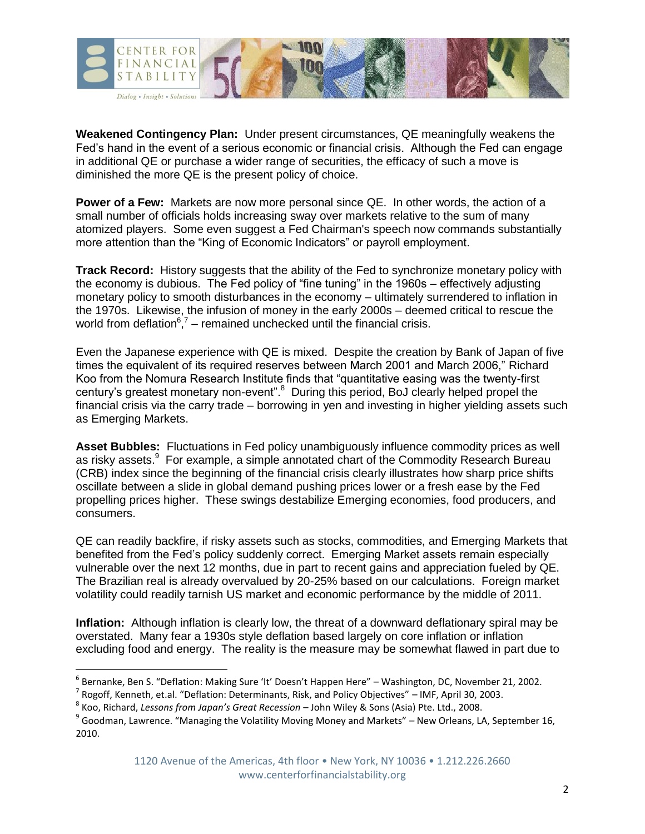

**Weakened Contingency Plan:** Under present circumstances, QE meaningfully weakens the Fed's hand in the event of a serious economic or financial crisis. Although the Fed can engage in additional QE or purchase a wider range of securities, the efficacy of such a move is diminished the more QE is the present policy of choice.

**Power of a Few:** Markets are now more personal since QE. In other words, the action of a small number of officials holds increasing sway over markets relative to the sum of many atomized players. Some even suggest a Fed Chairman's speech now commands substantially more attention than the "King of Economic Indicators" or payroll employment.

**Track Record:** History suggests that the ability of the Fed to synchronize monetary policy with the economy is dubious. The Fed policy of "fine tuning" in the 1960s – effectively adjusting monetary policy to smooth disturbances in the economy – ultimately surrendered to inflation in the 1970s. Likewise, the infusion of money in the early 2000s – deemed critical to rescue the world from deflation $6<sup>7</sup>$  – remained unchecked until the financial crisis.

Even the Japanese experience with QE is mixed. Despite the creation by Bank of Japan of five times the equivalent of its required reserves between March 2001 and March 2006," Richard Koo from the Nomura Research Institute finds that "quantitative easing was the twenty-first century's greatest monetary non-event".<sup>8</sup> During this period, BoJ clearly helped propel the financial crisis via the carry trade – borrowing in yen and investing in higher yielding assets such as Emerging Markets.

**Asset Bubbles:** Fluctuations in Fed policy unambiguously influence commodity prices as well as risky assets.<sup>9</sup> For example, a simple annotated chart of the Commodity Research Bureau (CRB) index since the beginning of the financial crisis clearly illustrates how sharp price shifts oscillate between a slide in global demand pushing prices lower or a fresh ease by the Fed propelling prices higher. These swings destabilize Emerging economies, food producers, and consumers.

QE can readily backfire, if risky assets such as stocks, commodities, and Emerging Markets that benefited from the Fed's policy suddenly correct. Emerging Market assets remain especially vulnerable over the next 12 months, due in part to recent gains and appreciation fueled by QE. The Brazilian real is already overvalued by 20-25% based on our calculations. Foreign market volatility could readily tarnish US market and economic performance by the middle of 2011.

**Inflation:** Although inflation is clearly low, the threat of a downward deflationary spiral may be overstated. Many fear a 1930s style deflation based largely on core inflation or inflation excluding food and energy. The reality is the measure may be somewhat flawed in part due to

 6 Bernanke, Ben S. "Deflation: Making Sure 'It' Doesn't Happen Here" – Washington, DC, November 21, 2002.

 $^7$  Rogoff, Kenneth, et.al. "Deflation: Determinants, Risk, and Policy Objectives" – IMF, April 30, 2003.

<sup>8</sup> Koo, Richard, *Lessons from Japan's Great Recession* – John Wiley & Sons (Asia) Pte. Ltd., 2008.

<sup>&</sup>lt;sup>9</sup> Goodman, Lawrence. "Managing the Volatility Moving Money and Markets" – New Orleans, LA, September 16, 2010.